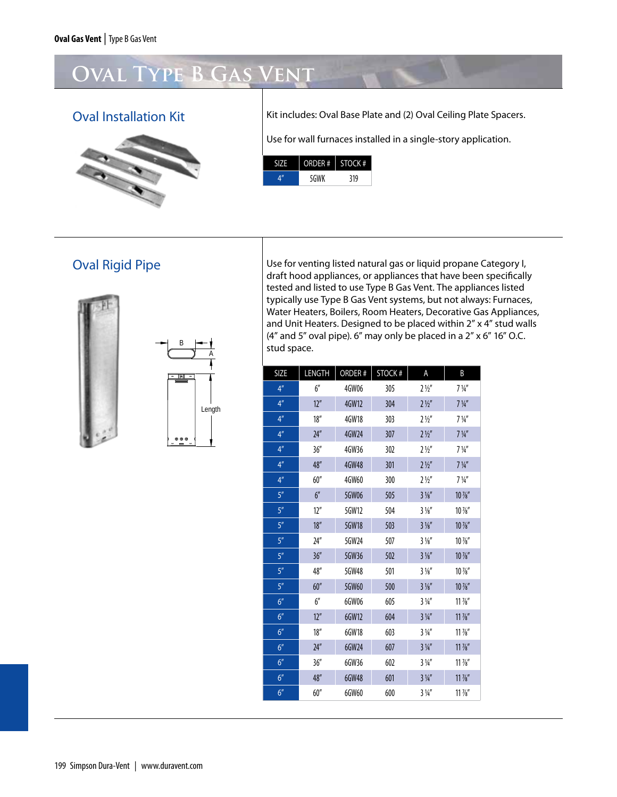# **Oval Type B Gas Vent**



Oval Installation Kit **Kit Milkow** Kit includes: Oval Base Plate and (2) Oval Ceiling Plate Spacers.

Use for wall furnaces installed in a single-story application.



# Oval Rigid Pipe





Use for venting listed natural gas or liquid propane Category I, draft hood appliances, or appliances that have been specifically tested and listed to use Type B Gas Vent. The appliances listed typically use Type B Gas Vent systems, but not always: Furnaces, Water heaters, Boilers, Room heaters, Decorative Gas Appliances, and Unit heaters. Designed to be placed within 2" x 4" stud walls (4" and 5" oval pipe). 6" may only be placed in a 2" x 6" 16" O.C. stud space.

| <b>SIZE</b>     | LENGTH           | ORDER# | <b>STOCK#</b> | A              | B                   |
|-----------------|------------------|--------|---------------|----------------|---------------------|
| 4 <sup>n</sup>  | 6''              | 4GW06  | 305           | $2\frac{1}{2}$ | $7\frac{1}{4}$      |
| 4 <sup>''</sup> | 12 <sup>''</sup> | 4GW12  | 304           | $2\frac{1}{2}$ | $7\frac{1}{4}$      |
| 4 <sup>''</sup> | 18''             | 4GW18  | 303           | $2\frac{1}{2}$ | $7\frac{1}{4}$      |
| 4 <sup>n</sup>  | 24''             | 4GW24  | 307           | $2\frac{1}{2}$ | $7\frac{1}{4}$      |
| 4 <sup>n</sup>  | 36''             | 4GW36  | 302           | $2\frac{1}{2}$ | $7\frac{1}{4}$      |
| 4 <sup>n</sup>  | 48"              | 4GW48  | 301           | $2\frac{1}{2}$ | $7\frac{1}{4}$      |
| 4 <sup>n</sup>  | 60''             | 4GW60  | 300           | $2\frac{1}{2}$ | $7\frac{1}{4}$      |
| 5 <sup>n</sup>  | 6''              | 5GW06  | 505           | $3\frac{1}{8}$ | $10\frac{7}{8}$     |
| 5 <sup>n</sup>  | 12 <sup>''</sup> | 5GW12  | 504           | $3\frac{1}{8}$ | $10\,\frac{\%}{\%}$ |
| 5''             | 18''             | 5GW18  | 503           | $3\frac{1}{8}$ | $10\,\frac{7}{8}$   |
| 5 <sup>n</sup>  | 24''             | 5GW24  | 507           | $3\frac{1}{8}$ | $10\,\frac{7}{8}$   |
| 5''             | 36''             | 5GW36  | 502           | $3\frac{1}{8}$ | $10\,\frac{7}{8}$   |
| 5''             | 48"              | 5GW48  | 501           | $3\frac{1}{8}$ | $10\,\frac{7}{8}$   |
| 5 <sup>n</sup>  | 60''             | 5GW60  | 500           | $3\frac{1}{8}$ | $10\frac{7}{8}$     |
| 6 <sup>''</sup> | 6''              | 6GW06  | 605           | $3\frac{1}{4}$ | $11\frac{7}{8}$     |
| 6 <sup>''</sup> | 12 <sup>''</sup> | 6GW12  | 604           | $3\frac{1}{4}$ | $11\frac{7}{8}$     |
| 6 <sup>''</sup> | 18''             | 6GW18  | 603           | $3\frac{1}{4}$ | $11\frac{7}{8}$     |
| 6 <sup>''</sup> | 24''             | 6GW24  | 607           | $3\frac{1}{4}$ | $11\frac{7}{8}$     |
| 6 <sup>''</sup> | 36''             | 6GW36  | 602           | $3\frac{1}{4}$ | $11\frac{7}{8}$     |
| 6 <sup>''</sup> | 48''             | 6GW48  | 601           | $3\frac{1}{4}$ | $11\frac{7}{8}$     |
| 6 <sup>''</sup> | 60''             | 6GW60  | 600           | $3\frac{1}{4}$ | $11\frac{7}{8}$     |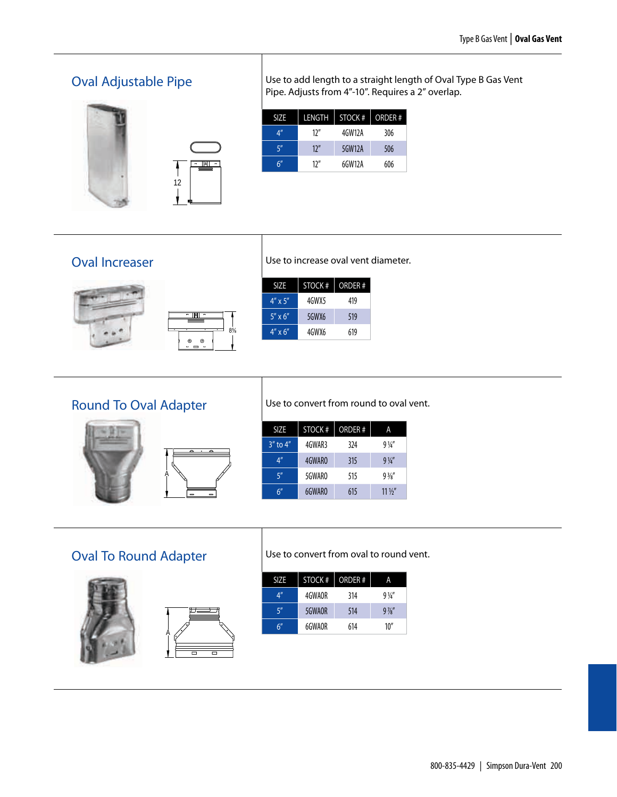# Oval Adjustable Pipe





| Use to add length to a straight length of Oval Type B Gas Vent |
|----------------------------------------------------------------|
| Pipe. Adjusts from 4"-10". Requires a 2" overlap.              |

| SIZE | LENGTH | STOCK # | ORDER# |
|------|--------|---------|--------|
| 4"   | 12''   | 4GW12A  | 306    |
| 5"   | 12''   | 5GW12A  | 506    |
| 6''  | 12''   | 6GW12A  | 606    |

#### Oval Increaser





Use to increase oval vent diameter.

| <b>SIZE</b>      | STOCK # | ORDER# |
|------------------|---------|--------|
| $4'' \times 5''$ | 4GWX5   | 419    |
| $5'' \times 6''$ | 5GWX6   | 519    |
| $4'' \times 6''$ | 4GWX6   | 619    |

# Round To Oval Adapter





Round to Oval

Use to convert from round to oval vent.

| <b>SIZE</b>    | STOCK# | <b>ORDER#</b> | Α               |
|----------------|--------|---------------|-----------------|
| $3''$ to $4''$ | 4GWAR3 | 324           | $9\frac{1}{4}$  |
| 4 <sup>n</sup> | 4GWARO | 315           | $9\frac{1}{4}$  |
| 5''            | 5GWARO | 515           | $9\frac{3}{8}$  |
| 6″             | 6GWARO | 615           | $11\frac{1}{2}$ |

# Oval To Round Adapter





Oval to Round

Use to convert from oval to round vent.

| 4"<br>4GWAOR  | 314 | $9\frac{1}{4}$ |
|---------------|-----|----------------|
|               |     |                |
| 5''<br>5GWAOR | 514 | $9\frac{7}{8}$ |
| 6''<br>6GWAOR | 614 | 10''           |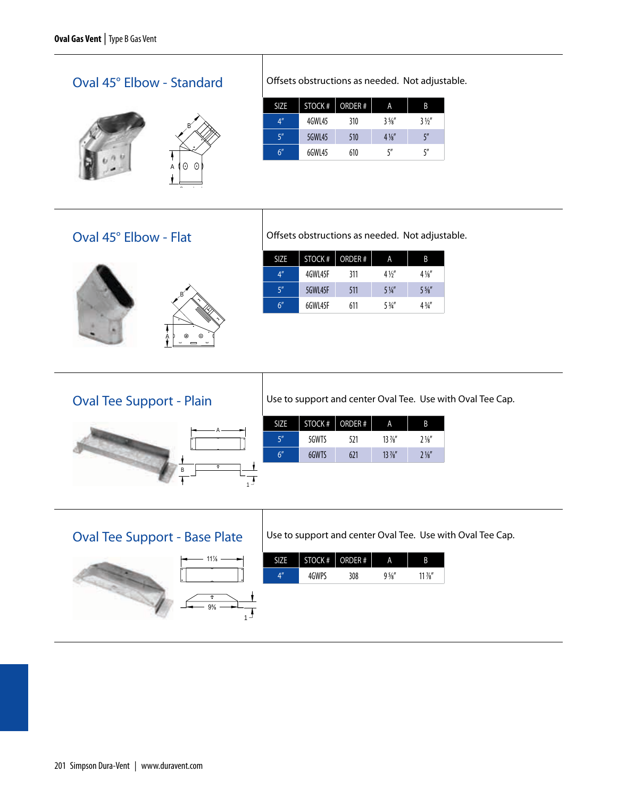### Oval 45° Elbow - Standard



Offsets obstructions as needed. Not adjustable.

| <b>SIZE</b>     | STOCK # | ORDER # | А              | B              |
|-----------------|---------|---------|----------------|----------------|
| 4 <sup>''</sup> | 4GWL45  | 310     | $3\frac{5}{8}$ | $3\frac{1}{2}$ |
| 5''             | 5GWL45  | 510     | $4\frac{1}{8}$ | 5''            |
| 6''             | 6GWL45  | 610     | 5″             | 5''            |

#### Oval 45° Elbow - Flat



Offsets obstructions as needed. Not adjustable.

| <b>SIZE</b>    | STOCK #  | ORDER# | А              | B              |
|----------------|----------|--------|----------------|----------------|
| 4 <sup>n</sup> | 4GWI 45F | 311    | $4\frac{1}{2}$ | $4\frac{1}{8}$ |
| 5''            | 5GWL45F  | 511    | $5\frac{1}{4}$ | $5\frac{1}{8}$ |
| 6''            | 6GWI 45F | 611    | $5\frac{3}{4}$ | $4\frac{3}{4}$ |

#### Oval Tee Support - Plain



| <b>SIZE</b> |       | STOCK # ORDER # | А               | B              |
|-------------|-------|-----------------|-----------------|----------------|
| 5''         | 5GWTS | 521             | $13\frac{7}{8}$ | $2\frac{1}{8}$ |
| 6''         | 6GWTS | 621             | $13\frac{7}{8}$ | $2\frac{1}{8}$ |

### Oval Tee Support - Base Plate





#### Use to support and center Oval Tee. Use with Oval Tee Cap.

Use to support and center Oval Tee. Use with Oval Tee Cap.

|    | STOCK # | ORDER# | А              |            |
|----|---------|--------|----------------|------------|
| ΔV | 4GWPS   | 308    | $9\frac{5}{8}$ | $11\,\%''$ |
|    |         |        |                |            |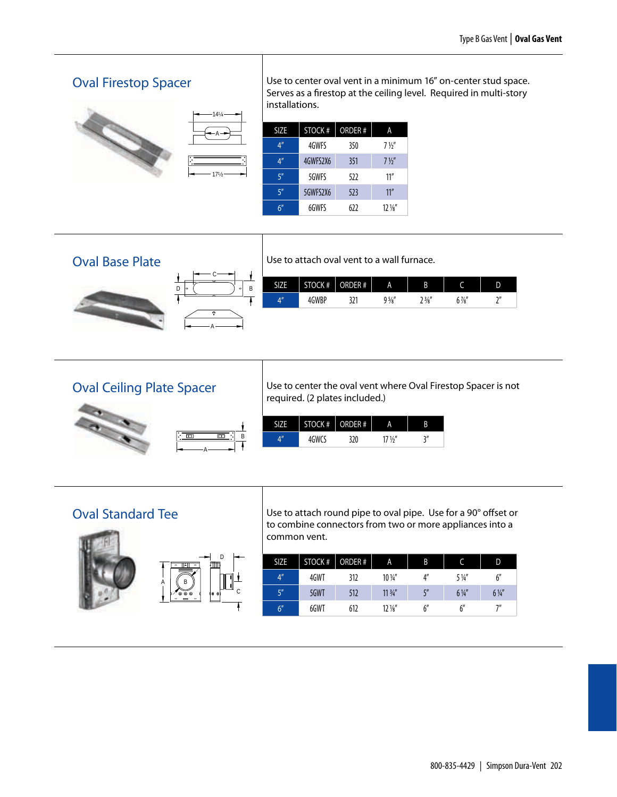#### Oval Firestop Spacer



Use to center oval vent in a minimum 16" on-center stud space. Serves as a firestop at the ceiling level. Required in multi-story installations.

| <b>SIZE</b>     | STOCK #  | <b>ORDER#</b> | А               |
|-----------------|----------|---------------|-----------------|
| 4 <sup>''</sup> | 4GWFS    | 350           | $7\frac{1}{2}$  |
| 4 <sup>''</sup> | 4GWFS2X6 | 351           | $7\frac{1}{2}$  |
| 5''             | 5GWFS    | 522           | 11''            |
| 5''             | 5GWFS2X6 | 523           | 11''            |
| 6''             | 6GWFS    | 622           | $12\frac{1}{8}$ |







Use to attach oval vent to a wall furnace.

| <b>CITE</b>          | CK # | #            | A              | B               |                | v             |
|----------------------|------|--------------|----------------|-----------------|----------------|---------------|
| $\overline{AB}$<br>∸ | WBP  | 171<br>ا ۷ د | $9\frac{5}{8}$ | $\frac{3}{8}$ " | $0\frac{7}{8}$ | $\gamma$<br>- |

#### Oval Ceiling Plate Spacer



Use to center the oval vent where Oval Firestop Spacer is not required. (2 plates included.)

|    | STOCK $#$   ORDER $#$ |     | Α    |     |
|----|-----------------------|-----|------|-----|
| л" | GWCS                  | 320 | 171/ | וור |

#### Oval Standard Tee





<u>Increase</u>

Use to attach round pipe to oval pipe. Use for a 90° offset or to combine connectors from two or more appliances into a common vent.

| <b>SIZE</b> | STOCK #     | ORDER# | A                 | B  |                | D              |
|-------------|-------------|--------|-------------------|----|----------------|----------------|
| A''         | 4GWT        | 312    | $10\,\frac{1}{4}$ | 4" | $5\frac{1}{4}$ | 6''            |
| 5''         | <b>5GWT</b> | 512    | $11\frac{3}{4}$   | ζ" | $6\frac{1}{4}$ | $6\frac{1}{4}$ |
| 6''         | 6GWT        | 612    | $12\frac{1}{8}$   |    | 6''            |                |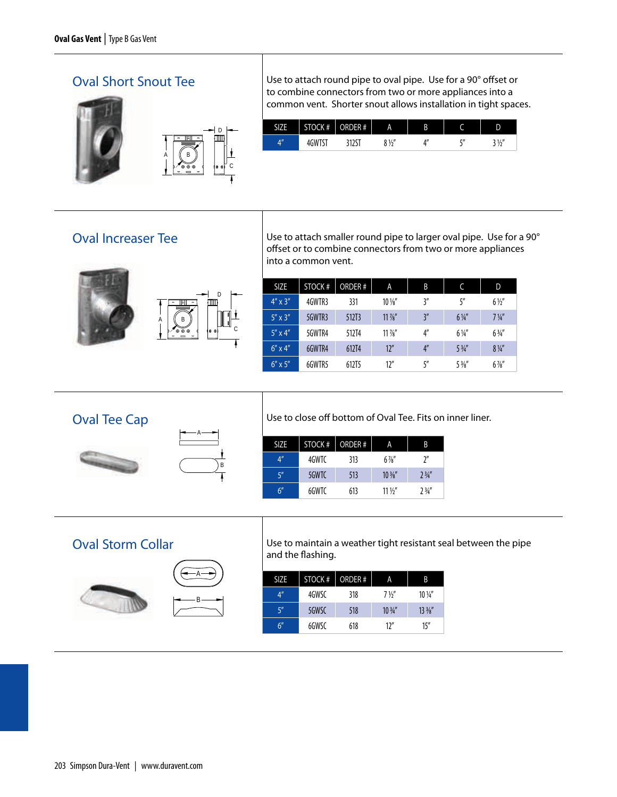#### Oval Short Snout Tee





Short Snout

Use to attach round pipe to oval pipe. Use for a 90° offset or to combine connectors from two or more appliances into a common vent. Shorter snout allows installation in tight spaces.

| .,                 | CK# | $\overline{a}$<br>$-1$<br>λ<br>#<br>к | A                    | B |              | D          |
|--------------------|-----|---------------------------------------|----------------------|---|--------------|------------|
| $A^{\prime\prime}$ | W٠. | ᇈ                                     | $8\frac{1}{2}$<br>,, |   | $F^{\prime}$ | 21/''<br>z |

#### Oval Increaser Tee



Use to attach smaller round pipe to larger oval pipe. Use for a 90° offset or to combine connectors from two or more appliances into a common vent.

| <b>SIZE</b>      | STOCK # | ORDER# | A               | B              | C              | D              |
|------------------|---------|--------|-----------------|----------------|----------------|----------------|
| $4'' \times 3''$ | 4GWTR3  | 331    | $10\frac{1}{8}$ | 3''            | 5''            | $6\frac{1}{2}$ |
| $5'' \times 3''$ | 5GWTR3  | 512T3  | $11\frac{7}{8}$ | 3''            | $6\frac{1}{4}$ | $7\frac{1}{4}$ |
| $5'' \times 4''$ | 5GWTR4  | 512T4  | $11\frac{7}{8}$ | 4''            | $6\frac{1}{4}$ | $6\frac{3}{4}$ |
| $6'' \times 4''$ | 6GWTR4  | 612T4  | 12''            | 4 <sup>n</sup> | $5\frac{3}{4}$ | $8\frac{1}{4}$ |
| $6'' \times 5''$ | 6GWTR5  | 612T5  | 12''            | 5''            | $5\frac{3}{8}$ | $6\frac{7}{8}$ |

#### Oval Tee Cap





Use to close off bottom of Oval Tee. Fits on inner liner.

| <b>SIZE</b>    | STOCK # | ORDER# | А               | B              |
|----------------|---------|--------|-----------------|----------------|
| 4 <sup>n</sup> | 4GWTC   | 313    | $6\frac{7}{8}$  | 7''            |
| 5''            | 5GWTC   | 513    | $10\frac{3}{8}$ | $2\frac{3}{4}$ |
| 6''            | 6GWTC   | 613    | $11\frac{1}{2}$ | 73/4''         |

#### Oval Storm Collar





Use to maintain a weather tight resistant seal between the pipe and the flashing.

| SIZE            | STOCK # | ORDER# | А               | B               |
|-----------------|---------|--------|-----------------|-----------------|
| 4 <sup>''</sup> | 4GWSC   | 318    | $7\frac{1}{2}$  | $10\frac{1}{4}$ |
| 5''             | 5GWSC   | 518    | $10\frac{3}{4}$ | $13\frac{3}{8}$ |
| 6''             | 6GWSC   | 618    | 12''            | 15''            |